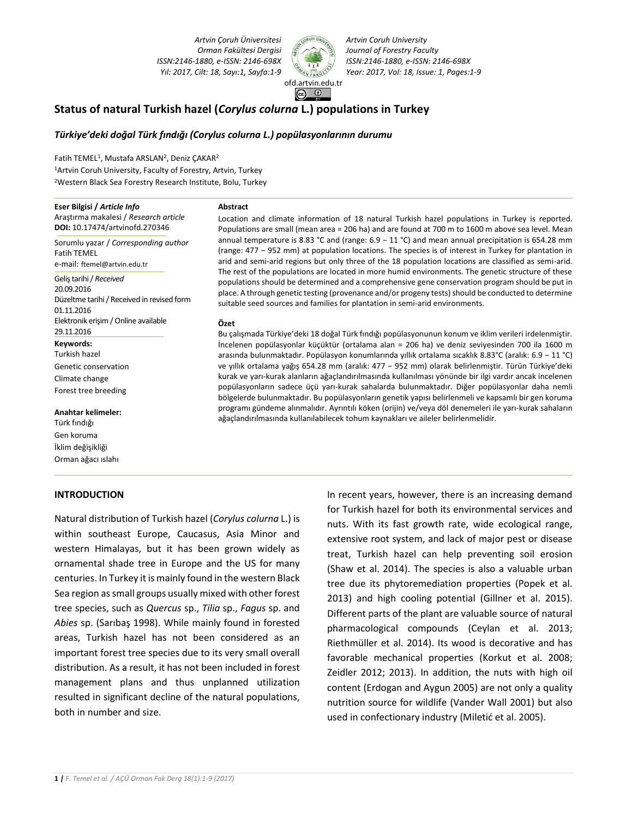*Artvin Çoruh Üniversitesi Orman Fakültesi Dergisi ISSN:2146-1880, e-ISSN: 2146-698X*



*Artvin Coruh University Journal of Forestry Faculty ISSN:2146-1880, e-ISSN: 2146-698X Yıl: 2017, Cilt: 18, Sayı:1, Sayfa:1-9 Year: 2017, Vol: 18, Issue: 1, Pages:1-9*

# **Status of natural Turkish hazel (***Corylus colurna* **L.) populations in Turkey**

## *Türkiye'deki doğal Türk fındığı (Corylus colurna L.) popülasyonlarının durumu*

**Abstract**

Fatih TEMEL<sup>1</sup>, Mustafa ARSLAN<sup>2</sup>, Deniz ÇAKAR<sup>2</sup> <sup>1</sup>Artvin Coruh University, Faculty of Forestry, Artvin, Turkey <sup>2</sup>Western Black Sea Forestry Research Institute, Bolu, Turkey

### **Eser Bilgisi /** *Article Info*

Araştırma makalesi / *Research article* **DOI:** 10.17474/artvinofd.270346

Sorumlu yazar / *Corresponding author* Fatih TEMEL e-mail: [ftemel@artvin.edu.tr](mailto:ftemel@artvin.edu.tr)

Geliş tarihi / *Received* 20.09.2016 Düzeltme tarihi/ Received in revised form 01.11.2016 Elektronik erişim / Online available 29.11.2016 **Keywords:**  Turkish hazel

Genetic conservation Climate change Forest tree breeding

**Anahtar kelimeler:**  Türk fındığı Gen koruma İklim değişikliği

Orman ağacı ıslahı

### **INTRODUCTION**

Location and climate information of 18 natural Turkish hazel populations in Turkey is reported. Populations are small (mean area = 206 ha) and are found at 700 m to 1600 m above sea level. Mean annual temperature is 8.83 °C and (range: 6.9 − 11 °C) and mean annual precipitation is 654.28 mm (range: 477 − 952 mm) at population locations. The species is of interest in Turkey for plantation in arid and semi-arid regions but only three of the 18 population locations are classified as semi-arid. The rest of the populations are located in more humid environments. The genetic structure of these populations should be determined and a comprehensive gene conservation program should be put in place. A through genetic testing (provenance and/or progeny tests) should be conducted to determine suitable seed sources and families for plantation in semi-arid environments.

#### **Özet**

Bu çalışmada Türkiye'deki 18 doğal Türk fındığı popülasyonunun konum ve iklim verileri irdelenmiştir. İncelenen popülasyonlar küçüktür (ortalama alan = 206 ha) ve deniz seviyesinden 700 ila 1600 m arasında bulunmaktadır. Popülasyon konumlarında yıllık ortalama sıcaklık 8.83°C (aralık: 6.9 − 11 °C) ve yıllık ortalama yağış 654.28 mm (aralık: 477 − 952 mm) olarak belirlenmiştir. Türün Türkiye'deki kurak ve yarı-kurak alanların ağaçlandırılmasında kullanılması yönünde bir ilgi vardır ancak incelenen popülasyonların sadece üçü yarı-kurak sahalarda bulunmaktadır. Diğer popülasyonlar daha nemli bölgelerde bulunmaktadır. Bu popülasyonların genetik yapısı belirlenmeli ve kapsamlı bir gen koruma programı gündeme alınmalıdır. Ayrıntılı köken (orijin) ve/veya döl denemeleri ile yarı-kurak sahaların ağaçlandırılmasında kullanılabilecek tohum kaynakları ve aileler belirlenmelidir.

Natural distribution of Turkish hazel (*Corylus colurna* L.) is within southeast Europe, Caucasus, Asia Minor and western Himalayas, but it has been grown widely as ornamental shade tree in Europe and the US for many centuries. In Turkey it is mainly found in the western Black Sea region as small groups usually mixed with other forest tree species, such as *Quercus* sp., *Tilia* sp., *Fagus* sp. and *Abies* sp. (Sarıbaş 1998). While mainly found in forested areas, Turkish hazel has not been considered as an important forest tree species due to its very small overall distribution. As a result, it has not been included in forest management plans and thus unplanned utilization resulted in significant decline of the natural populations, both in number and size.

In recent years, however, there is an increasing demand for Turkish hazel for both its environmental services and nuts. With its fast growth rate, wide ecological range, extensive root system, and lack of major pest or disease treat, Turkish hazel can help preventing soil erosion (Shaw et al. 2014). The species is also a valuable urban tree due its phytoremediation properties (Popek et al. 2013) and high cooling potential (Gillner et al. 2015). Different parts of the plant are valuable source of natural pharmacological compounds (Ceylan et al. 2013; Riethmüller et al. 2014). Its wood is decorative and has favorable mechanical properties (Korkut et al. 2008; Zeidler 2012; 2013). In addition, the nuts with high oil content (Erdogan and Aygun 2005) are not only a quality nutrition source for wildlife (Vander Wall 2001) but also used in confectionary industry (Miletić et al. 2005).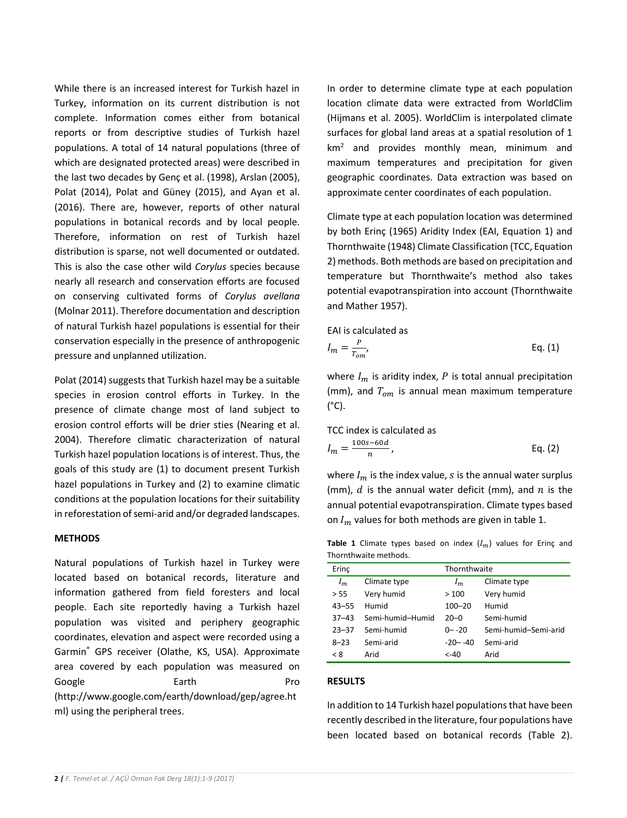While there is an increased interest for Turkish hazel in Turkey, information on its current distribution is not complete. Information comes either from botanical reports or from descriptive studies of Turkish hazel populations. A total of 14 natural populations (three of which are designated protected areas) were described in the last two decades by Genç et al. (1998), Arslan (2005), Polat (2014), Polat and Güney (2015), and Ayan et al. (2016). There are, however, reports of other natural populations in botanical records and by local people. Therefore, information on rest of Turkish hazel distribution is sparse, not well documented or outdated. This is also the case other wild *Corylus* species because nearly all research and conservation efforts are focused on conserving cultivated forms of *Corylus avellana* (Molnar 2011). Therefore documentation and description of natural Turkish hazel populations is essential for their conservation especially in the presence of anthropogenic pressure and unplanned utilization.

Polat (2014) suggests that Turkish hazel may be a suitable species in erosion control efforts in Turkey. In the presence of climate change most of land subject to erosion control efforts will be drier sties (Nearing et al. 2004). Therefore climatic characterization of natural Turkish hazel population locations is of interest. Thus, the goals of this study are (1) to document present Turkish hazel populations in Turkey and (2) to examine climatic conditions at the population locations for their suitability in reforestation of semi-arid and/or degraded landscapes.

## **METHODS**

Natural populations of Turkish hazel in Turkey were located based on botanical records, literature and information gathered from field foresters and local people. Each site reportedly having a Turkish hazel population was visited and periphery geographic coordinates, elevation and aspect were recorded using a Garmin® GPS receiver (Olathe, KS, USA). Approximate area covered by each population was measured on Google **Earth** Earth **Pro** [\(http://www.google.com/earth/download/gep/agree.ht](http://www.google.com/earth/download/gep/agree.html) [ml\)](http://www.google.com/earth/download/gep/agree.html) using the peripheral trees.

In order to determine climate type at each population location climate data were extracted from WorldClim (Hijmans et al. 2005). WorldClim is interpolated climate surfaces for global land areas at a spatial resolution of 1 km<sup>2</sup> and provides monthly mean, minimum and maximum temperatures and precipitation for given geographic coordinates. Data extraction was based on approximate center coordinates of each population.

Climate type at each population location was determined by both Erinç (1965) Aridity Index (EAI, Equation 1) and Thornthwaite (1948) Climate Classification (TCC, Equation 2) methods. Both methods are based on precipitation and temperature but Thornthwaite's method also takes potential evapotranspiration into account (Thornthwaite and Mather 1957).

$$
I_m = \frac{P}{T_{om}},
$$
 Eq. (1)

where  $I_m$  is aridity index, P is total annual precipitation (mm), and  $T_{om}$  is annual mean maximum temperature  $(^{\circ}C)$ .

TCC index is calculated as  
\n
$$
I_m = \frac{100s - 60d}{n},
$$
\nEq. (2)

where  $I_m$  is the index value, *s* is the annual water surplus (mm),  $d$  is the annual water deficit (mm), and  $n$  is the annual potential evapotranspiration. Climate types based on  $I_m$  values for both methods are given in table 1.

**Table 1** Climate types based on index  $(I_m)$  values for Erinç and Thornthwaite methods.

| Erinc     |                  | Thornthwaite |                      |  |
|-----------|------------------|--------------|----------------------|--|
| $I_m$     | Climate type     | $l_m$        | Climate type         |  |
| > 55      | Very humid       | >100         | Very humid           |  |
| $43 - 55$ | Humid            | $100 - 20$   | Humid                |  |
| $37 - 43$ | Semi-humid-Humid | $20 - 0$     | Semi-humid           |  |
| $23 - 37$ | Semi-humid       | $0 - -20$    | Semi-humid-Semi-arid |  |
| $8 - 23$  | Semi-arid        | $-20 - -40$  | Semi-arid            |  |
| < 8       | Arid             | <-40         | Arid                 |  |

# **RESULTS**

In addition to 14 Turkish hazel populations that have been recently described in the literature, four populations have been located based on botanical records (Table 2).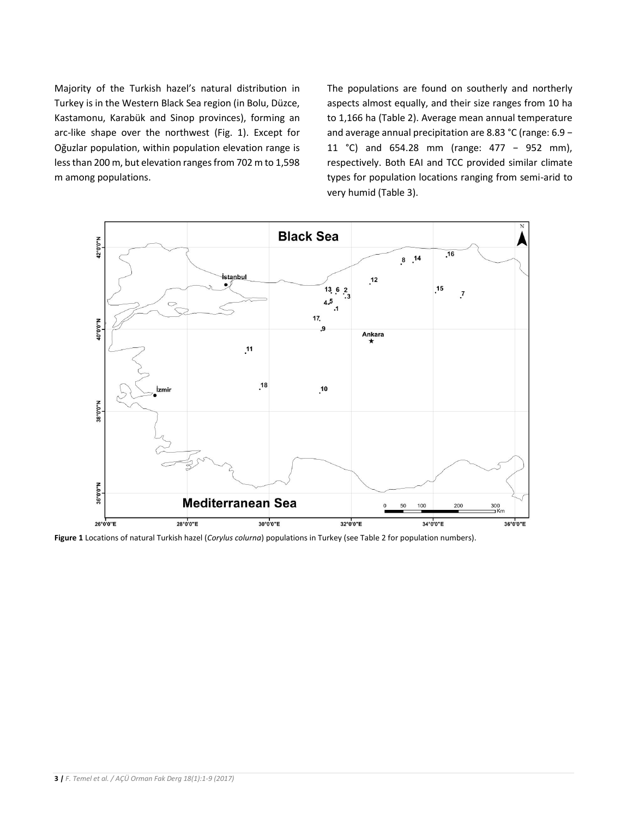Majority of the Turkish hazel's natural distribution in Turkey is in the Western Black Sea region (in Bolu, Düzce, Kastamonu, Karabük and Sinop provinces), forming an arc-like shape over the northwest (Fig. 1). Except for Oğuzlar population, within population elevation range is less than 200 m, but elevation ranges from 702 m to 1,598 m among populations.

The populations are found on southerly and northerly aspects almost equally, and their size ranges from 10 ha to 1,166 ha (Table 2). Average mean annual temperature and average annual precipitation are 8.83 °C (range: 6.9 − 11 °C) and 654.28 mm (range: 477 − 952 mm), respectively. Both EAI and TCC provided similar climate types for population locations ranging from semi-arid to very humid (Table 3).



**Figure 1** Locations of natural Turkish hazel (*Corylus colurna*) populations in Turkey (see Table 2 for population numbers).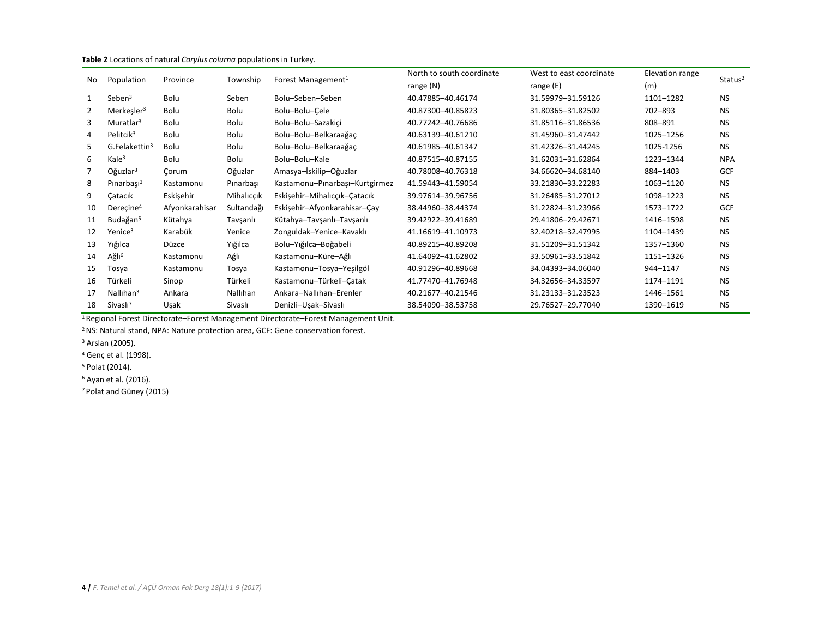| No | Population                | Province       | Township   | Forest Management <sup>1</sup> | North to south coordinate | West to east coordinate | Elevation range | Status <sup>2</sup> |
|----|---------------------------|----------------|------------|--------------------------------|---------------------------|-------------------------|-----------------|---------------------|
|    |                           |                |            |                                | range $(N)$               | range $(E)$             | (m)             |                     |
| 1  | Seben <sup>3</sup>        | Bolu           | Seben      | Bolu-Seben-Seben               | 40.47885-40.46174         | 31.59979-31.59126       | 1101-1282       | <b>NS</b>           |
| 2  | Merkeşler <sup>3</sup>    | Bolu           | Bolu       | Bolu-Bolu-Cele                 | 40.87300-40.85823         | 31.80365-31.82502       | 702-893         | <b>NS</b>           |
| 3  | Muratlar <sup>3</sup>     | Bolu           | Bolu       | Bolu-Bolu-Sazakici             | 40.77242-40.76686         | 31.85116-31.86536       | 808-891         | <b>NS</b>           |
| 4  | Pelitcik <sup>3</sup>     | Bolu           | Bolu       | Bolu-Bolu-Belkaraağaç          | 40.63139-40.61210         | 31.45960-31.47442       | 1025-1256       | <b>NS</b>           |
| 5. | G.Felakettin <sup>3</sup> | Bolu           | Bolu       | Bolu-Bolu-Belkaraağac          | 40.61985-40.61347         | 31.42326-31.44245       | 1025-1256       | <b>NS</b>           |
| 6  | Kale <sup>3</sup>         | Bolu           | Bolu       | Bolu-Bolu-Kale                 | 40.87515-40.87155         | 31.62031-31.62864       | 1223-1344       | <b>NPA</b>          |
|    | Oğuzlar <sup>3</sup>      | Corum          | Oğuzlar    | Amasya-İskilip-Oğuzlar         | 40.78008-40.76318         | 34.66620-34.68140       | 884-1403        | <b>GCF</b>          |
| 8  | Pinarbaşı $3$             | Kastamonu      | Pinarbaşı  | Kastamonu-Pinarbaşı-Kurtgirmez | 41.59443-41.59054         | 33.21830-33.22283       | 1063-1120       | <b>NS</b>           |
| 9  | Catacık                   | Eskişehir      | Mihalicçik | Eskişehir-Mihalıcçık-Çatacık   | 39.97614-39.96756         | 31.26485-31.27012       | 1098-1223       | <b>NS</b>           |
| 10 | Dereçine <sup>4</sup>     | Afyonkarahisar | Sultandağı | Eskişehir-Afyonkarahisar-Çay   | 38.44960-38.44374         | 31.22824-31.23966       | 1573-1722       | <b>GCF</b>          |
| 11 | Budağan <sup>5</sup>      | Kütahya        | Tavşanlı   | Kütahya-Tavşanlı-Tavşanlı      | 39.42922-39.41689         | 29.41806-29.42671       | 1416-1598       | <b>NS</b>           |
| 12 | Yenice <sup>3</sup>       | Karabük        | Yenice     | Zonguldak-Yenice-Kavaklı       | 41.16619-41.10973         | 32.40218-32.47995       | 1104-1439       | <b>NS</b>           |
| 13 | Yığılca                   | Düzce          | Yığılca    | Bolu-Yığılca-Boğabeli          | 40.89215-40.89208         | 31.51209-31.51342       | 1357-1360       | <b>NS</b>           |
| 14 | Ağlı <sup>6</sup>         | Kastamonu      | Ağlı       | Kastamonu-Küre-Ağlı            | 41.64092-41.62802         | 33.50961-33.51842       | 1151-1326       | <b>NS</b>           |
| 15 | Tosya                     | Kastamonu      | Tosya      | Kastamonu-Tosya-Yesilgöl       | 40.91296-40.89668         | 34.04393-34.06040       | 944-1147        | <b>NS</b>           |
| 16 | Türkeli                   | Sinop          | Türkeli    | Kastamonu-Türkeli-Catak        | 41.77470-41.76948         | 34.32656-34.33597       | 1174-1191       | <b>NS</b>           |
| 17 | Nallıhan <sup>3</sup>     | Ankara         | Nallıhan   | Ankara-Nallıhan-Erenler        | 40.21677-40.21546         | 31.23133-31.23523       | 1446-1561       | <b>NS</b>           |
| 18 | Sivaslı <sup>7</sup>      | Uşak           | Sivaslı    | Denizli-Usak-Sivaslı           | 38.54090-38.53758         | 29.76527-29.77040       | 1390-1619       | <b>NS</b>           |

#### **Table 2** Locations of natural *Corylus colurna* populations in Turkey.

Regional Forest Directorate–Forest Management Directorate–Forest Management Unit.

NS: Natural stand, NPA: Nature protection area, GCF: Gene conservation forest.

Arslan (2005).

Genç et al. (1998).

Polat (2014).

Ayan et al. (2016).

Polat and Güney (2015)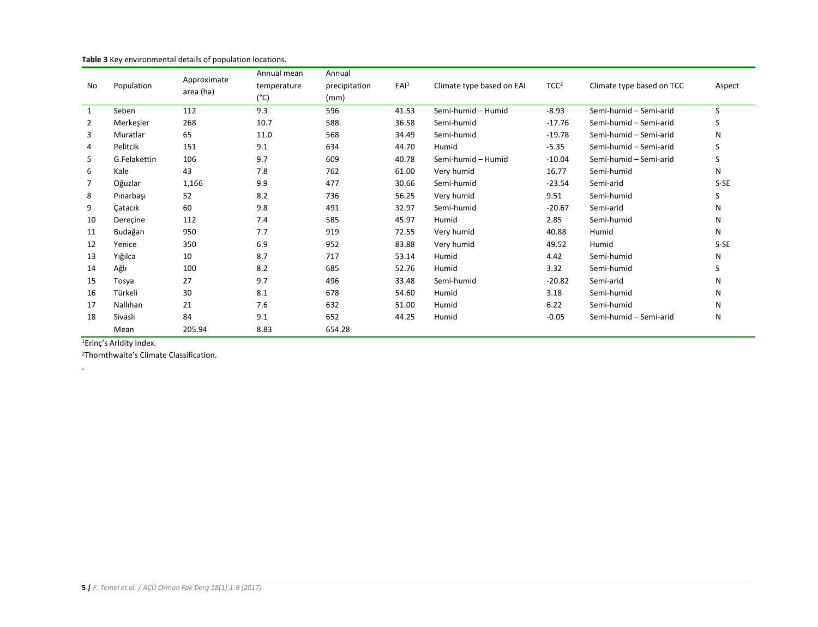| No             | Population   | Approximate<br>area (ha) | Annual mean   | Annual        |                  |                           |                  |                           |        |
|----------------|--------------|--------------------------|---------------|---------------|------------------|---------------------------|------------------|---------------------------|--------|
|                |              |                          | temperature   | precipitation | EAI <sup>1</sup> | Climate type based on EAI | TCC <sup>2</sup> | Climate type based on TCC | Aspect |
|                |              |                          | $(^{\circ}C)$ | (mm)          |                  |                           |                  |                           |        |
| 1              | Seben        | 112                      | 9.3           | 596           | 41.53            | Semi-humid - Humid        | $-8.93$          | Semi-humid - Semi-arid    | S      |
| $\overline{2}$ | Merkeşler    | 268                      | 10.7          | 588           | 36.58            | Semi-humid                | $-17.76$         | Semi-humid - Semi-arid    | S      |
| 3              | Muratlar     | 65                       | 11.0          | 568           | 34.49            | Semi-humid                | $-19.78$         | Semi-humid - Semi-arid    | N      |
| 4              | Pelitcik     | 151                      | 9.1           | 634           | 44.70            | Humid                     | $-5.35$          | Semi-humid - Semi-arid    | S      |
| 5              | G.Felakettin | 106                      | 9.7           | 609           | 40.78            | Semi-humid - Humid        | $-10.04$         | Semi-humid - Semi-arid    | S      |
| 6              | Kale         | 43                       | 7.8           | 762           | 61.00            | Very humid                | 16.77            | Semi-humid                | N      |
| 7              | Oğuzlar      | 1,166                    | 9.9           | 477           | 30.66            | Semi-humid                | $-23.54$         | Semi-arid                 | S-SE   |
| 8              | Pinarbaşı    | 52                       | 8.2           | 736           | 56.25            | Very humid                | 9.51             | Semi-humid                | S      |
| 9              | Catacık      | 60                       | 9.8           | 491           | 32.97            | Semi-humid                | $-20.67$         | Semi-arid                 | N      |
| 10             | Derecine     | 112                      | 7.4           | 585           | 45.97            | Humid                     | 2.85             | Semi-humid                | N      |
| 11             | Budağan      | 950                      | 7.7           | 919           | 72.55            | Very humid                | 40.88            | Humid                     | N      |
| 12             | Yenice       | 350                      | 6.9           | 952           | 83.88            | Very humid                | 49.52            | Humid                     | $S-SE$ |
| 13             | Yığılca      | 10                       | 8.7           | 717           | 53.14            | Humid                     | 4.42             | Semi-humid                | N      |
| 14             | Ağlı         | 100                      | 8.2           | 685           | 52.76            | Humid                     | 3.32             | Semi-humid                | S      |
| 15             | Tosya        | 27                       | 9.7           | 496           | 33.48            | Semi-humid                | $-20.82$         | Semi-arid                 | N      |
| 16             | Türkeli      | 30                       | 8.1           | 678           | 54.60            | Humid                     | 3.18             | Semi-humid                | N      |
| 17             | Nallıhan     | 21                       | 7.6           | 632           | 51.00            | Humid                     | 6.22             | Semi-humid                | N      |
| 18             | Sivaslı      | 84                       | 9.1           | 652           | 44.25            | Humid                     | $-0.05$          | Semi-humid - Semi-arid    | N      |
|                | Mean         | 205.94                   | 8.83          | 654.28        |                  |                           |                  |                           |        |

**Table 3** Key environmental details of population locations.

1Erinç's Aridity Index.

.

<sup>2</sup>Thornthwaite's Climate Classification.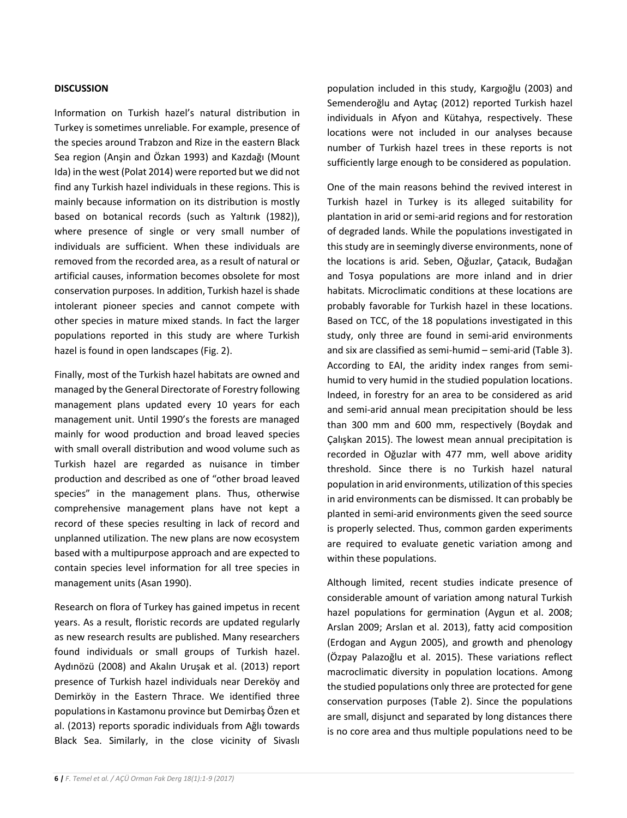# **DISCUSSION**

Information on Turkish hazel's natural distribution in Turkey is sometimes unreliable. For example, presence of the species around Trabzon and Rize in the eastern Black Sea region (Anşin and Özkan 1993) and Kazdağı (Mount Ida) in the west (Polat 2014) were reported but we did not find any Turkish hazel individuals in these regions. This is mainly because information on its distribution is mostly based on botanical records (such as Yaltırık (1982)), where presence of single or very small number of individuals are sufficient. When these individuals are removed from the recorded area, as a result of natural or artificial causes, information becomes obsolete for most conservation purposes. In addition, Turkish hazel is shade intolerant pioneer species and cannot compete with other species in mature mixed stands. In fact the larger populations reported in this study are where Turkish hazel is found in open landscapes (Fig. 2).

Finally, most of the Turkish hazel habitats are owned and managed by the General Directorate of Forestry following management plans updated every 10 years for each management unit. Until 1990's the forests are managed mainly for wood production and broad leaved species with small overall distribution and wood volume such as Turkish hazel are regarded as nuisance in timber production and described as one of "other broad leaved species" in the management plans. Thus, otherwise comprehensive management plans have not kept a record of these species resulting in lack of record and unplanned utilization. The new plans are now ecosystem based with a multipurpose approach and are expected to contain species level information for all tree species in management units (Asan 1990).

Research on flora of Turkey has gained impetus in recent years. As a result, floristic records are updated regularly as new research results are published. Many researchers found individuals or small groups of Turkish hazel. Aydınözü (2008) and Akalın Uruşak et al. (2013) report presence of Turkish hazel individuals near Dereköy and Demirköy in the Eastern Thrace. We identified three populations in Kastamonu province but Demirbaş Özen et al. (2013) reports sporadic individuals from Ağlı towards Black Sea. Similarly, in the close vicinity of Sivaslı

population included in this study, Kargıoğlu (2003) and Semenderoğlu and Aytaç (2012) reported Turkish hazel individuals in Afyon and Kütahya, respectively. These locations were not included in our analyses because number of Turkish hazel trees in these reports is not sufficiently large enough to be considered as population.

One of the main reasons behind the revived interest in Turkish hazel in Turkey is its alleged suitability for plantation in arid or semi-arid regions and for restoration of degraded lands. While the populations investigated in this study are in seemingly diverse environments, none of the locations is arid. Seben, Oğuzlar, Çatacık, Budağan and Tosya populations are more inland and in drier habitats. Microclimatic conditions at these locations are probably favorable for Turkish hazel in these locations. Based on TCC, of the 18 populations investigated in this study, only three are found in semi-arid environments and six are classified as semi-humid – semi-arid (Table 3). According to EAI, the aridity index ranges from semihumid to very humid in the studied population locations. Indeed, in forestry for an area to be considered as arid and semi-arid annual mean precipitation should be less than 300 mm and 600 mm, respectively (Boydak and Çalışkan 2015). The lowest mean annual precipitation is recorded in Oğuzlar with 477 mm, well above aridity threshold. Since there is no Turkish hazel natural population in arid environments, utilization of this species in arid environments can be dismissed. It can probably be planted in semi-arid environments given the seed source is properly selected. Thus, common garden experiments are required to evaluate genetic variation among and within these populations.

Although limited, recent studies indicate presence of considerable amount of variation among natural Turkish hazel populations for germination (Aygun et al. 2008; Arslan 2009; Arslan et al. 2013), fatty acid composition (Erdogan and Aygun 2005), and growth and phenology (Özpay Palazoğlu et al. 2015). These variations reflect macroclimatic diversity in population locations. Among the studied populations only three are protected for gene conservation purposes (Table 2). Since the populations are small, disjunct and separated by long distances there is no core area and thus multiple populations need to be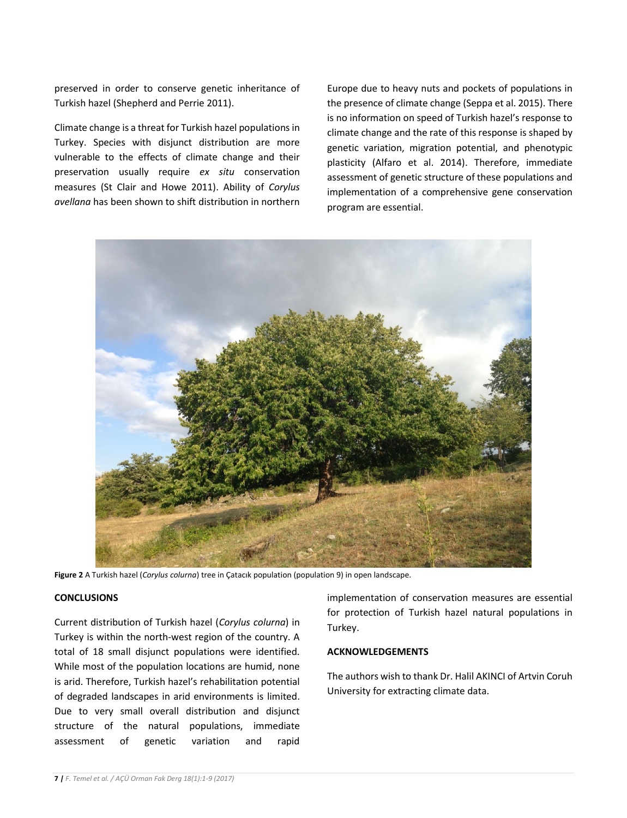preserved in order to conserve genetic inheritance of Turkish hazel (Shepherd and Perrie 2011).

Climate change is a threat for Turkish hazel populations in Turkey. Species with disjunct distribution are more vulnerable to the effects of climate change and their preservation usually require *ex situ* conservation measures (St Clair and Howe 2011). Ability of *Corylus avellana* has been shown to shift distribution in northern

Europe due to heavy nuts and pockets of populations in the presence of climate change (Seppa et al. 2015). There is no information on speed of Turkish hazel's response to climate change and the rate of this response is shaped by genetic variation, migration potential, and phenotypic plasticity (Alfaro et al. 2014). Therefore, immediate assessment of genetic structure of these populations and implementation of a comprehensive gene conservation program are essential.



**Figure 2** A Turkish hazel (*Corylus colurna*) tree in Çatacık population (population 9) in open landscape.

## **CONCLUSIONS**

Current distribution of Turkish hazel (*Corylus colurna*) in Turkey is within the north-west region of the country. A total of 18 small disjunct populations were identified. While most of the population locations are humid, none is arid. Therefore, Turkish hazel's rehabilitation potential of degraded landscapes in arid environments is limited. Due to very small overall distribution and disjunct structure of the natural populations, immediate assessment of genetic variation and rapid

implementation of conservation measures are essential for protection of Turkish hazel natural populations in Turkey.

# **ACKNOWLEDGEMENTS**

The authors wish to thank Dr. Halil AKINCI of Artvin Coruh University for extracting climate data.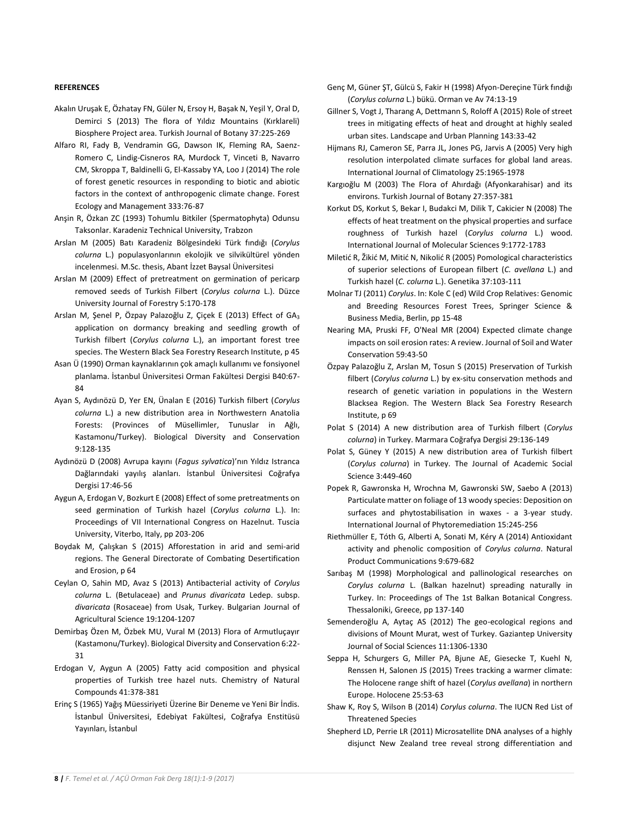#### **REFERENCES**

- Akalın Uruşak E, Özhatay FN, Güler N, Ersoy H, Başak N, Yeşil Y, Oral D, Demirci S (2013) The flora of Yıldız Mountains (Kırklareli) Biosphere Project area. Turkish Journal of Botany 37:225-269
- Alfaro RI, Fady B, Vendramin GG, Dawson IK, Fleming RA, Saenz-Romero C, Lindig-Cisneros RA, Murdock T, Vinceti B, Navarro CM, Skroppa T, Baldinelli G, El-Kassaby YA, Loo J (2014) The role of forest genetic resources in responding to biotic and abiotic factors in the context of anthropogenic climate change. Forest Ecology and Management 333:76-87
- Anşin R, Özkan ZC (1993) Tohumlu Bitkiler (Spermatophyta) Odunsu Taksonlar. Karadeniz Technical University, Trabzon
- Arslan M (2005) Batı Karadeniz Bölgesindeki Türk fındığı (*Corylus colurna* L.) populasyonlarının ekolojik ve silvikültürel yönden incelenmesi. M.Sc. thesis, Abant İzzet Baysal Üniversitesi
- Arslan M (2009) Effect of pretreatment on germination of pericarp removed seeds of Turkish Filbert (*Corylus colurna* L.). Düzce University Journal of Forestry 5:170-178
- Arslan M, Şenel P, Özpay Palazoğlu Z, Çiçek E (2013) Effect of GA<sup>3</sup> application on dormancy breaking and seedling growth of Turkish filbert (*Corylus colurna* L.), an important forest tree species. The Western Black Sea Forestry Research Institute, p 45
- Asan Ü (1990) Orman kaynaklarının çok amaçlı kullanımı ve fonsiyonel planlama. İstanbul Üniversitesi Orman Fakültesi Dergisi B40:67- 84
- Ayan S, Aydınözü D, Yer EN, Ünalan E (2016) Turkish filbert (*Corylus colurna* L.) a new distribution area in Northwestern Anatolia Forests: (Provinces of Müsellimler, Tunuslar in Ağlı, Kastamonu/Turkey). Biological Diversity and Conservation 9:128-135
- Aydınözü D (2008) Avrupa kayını (*Fagus sylvatica*)'nın Yıldız Istranca Dağlarındaki yayılış alanları. İstanbul Üniversitesi Coğrafya Dergisi 17:46-56
- Aygun A, Erdogan V, Bozkurt E (2008) Effect of some pretreatments on seed germination of Turkish hazel (*Corylus colurna* L.). In: Proceedings of VII International Congress on Hazelnut. Tuscia University, Viterbo, Italy, pp 203-206
- Boydak M, Çalışkan S (2015) Afforestation in arid and semi-arid regions. The General Directorate of Combating Desertification and Erosion, p 64
- Ceylan O, Sahin MD, Avaz S (2013) Antibacterial activity of *Corylus colurna* L. (Betulaceae) and *Prunus divaricata* Ledep. subsp. *divaricata* (Rosaceae) from Usak, Turkey. Bulgarian Journal of Agricultural Science 19:1204-1207
- Demirbaş Özen M, Özbek MU, Vural M (2013) Flora of Armutluçayır (Kastamonu/Turkey). Biological Diversity and Conservation 6:22- 31
- Erdogan V, Aygun A (2005) Fatty acid composition and physical properties of Turkish tree hazel nuts. Chemistry of Natural Compounds 41:378-381
- Erinç S (1965) Yağış Müessiriyeti Üzerine Bir Deneme ve Yeni Bir İndis. İstanbul Üniversitesi, Edebiyat Fakültesi, Coğrafya Enstitüsü Yayınları, İstanbul
- Genç M, Güner ŞT, Gülcü S, Fakir H (1998) Afyon-Dereçine Türk fındığı (*Corylus colurna* L.) bükü. Orman ve Av 74:13-19
- Gillner S, Vogt J, Tharang A, Dettmann S, Roloff A (2015) Role of street trees in mitigating effects of heat and drought at highly sealed urban sites. Landscape and Urban Planning 143:33-42
- Hijmans RJ, Cameron SE, Parra JL, Jones PG, Jarvis A (2005) Very high resolution interpolated climate surfaces for global land areas. International Journal of Climatology 25:1965-1978
- Kargıoğlu M (2003) The Flora of Ahırdağı (Afyonkarahisar) and its environs. Turkish Journal of Botany 27:357-381
- Korkut DS, Korkut S, Bekar I, Budakci M, Dilik T, Cakicier N (2008) The effects of heat treatment on the physical properties and surface roughness of Turkish hazel (*Corylus colurna* L.) wood. International Journal of Molecular Sciences 9:1772-1783
- Miletić R, Žikić M, Mitić N, Nikolić R (2005) Pomological characteristics of superior selections of European filbert (*C. avellana* L.) and Turkish hazel (*C. colurna* L.). Genetika 37:103-111
- Molnar TJ (2011) *Corylus*. In: Kole C (ed) Wild Crop Relatives: Genomic and Breeding Resources Forest Trees, Springer Science & Business Media, Berlin, pp 15-48
- Nearing MA, Pruski FF, O'Neal MR (2004) Expected climate change impacts on soil erosion rates: A review. Journal of Soil and Water Conservation 59:43-50
- Özpay Palazoğlu Z, Arslan M, Tosun S (2015) Preservation of Turkish filbert (*Corylus colurna* L.) by ex-situ conservation methods and research of genetic variation in populations in the Western Blacksea Region. The Western Black Sea Forestry Research Institute, p 69
- Polat S (2014) A new distribution area of Turkish filbert (*Corylus colurna*) in Turkey. Marmara Coğrafya Dergisi 29:136-149
- Polat S, Güney Y (2015) A new distribution area of Turkish filbert (*Corylus colurna*) in Turkey. The Journal of Academic Social Science 3:449-460
- Popek R, Gawronska H, Wrochna M, Gawronski SW, Saebo A (2013) Particulate matter on foliage of 13 woody species: Deposition on surfaces and phytostabilisation in waxes - a 3-year study. International Journal of Phytoremediation 15:245-256
- Riethmüller E, Tóth G, Alberti A, Sonati M, Kéry A (2014) Antioxidant activity and phenolic composition of *Corylus colurna*. Natural Product Communications 9:679-682
- Sarıbaş M (1998) Morphological and pallinological researches on *Corylus colurna* L. (Balkan hazelnut) spreading naturally in Turkey. In: Proceedings of The 1st Balkan Botanical Congress. Thessaloniki, Greece, pp 137-140
- Semenderoğlu A, Aytaç AS (2012) The geo-ecological regions and divisions of Mount Murat, west of Turkey. Gaziantep University Journal of Social Sciences 11:1306-1330
- Seppa H, Schurgers G, Miller PA, Bjune AE, Giesecke T, Kuehl N, Renssen H, Salonen JS (2015) Trees tracking a warmer climate: The Holocene range shift of hazel (*Corylus avellana*) in northern Europe. Holocene 25:53-63
- Shaw K, Roy S, Wilson B (2014) *Corylus colurna*. The IUCN Red List of Threatened Species
- Shepherd LD, Perrie LR (2011) Microsatellite DNA analyses of a highly disjunct New Zealand tree reveal strong differentiation and